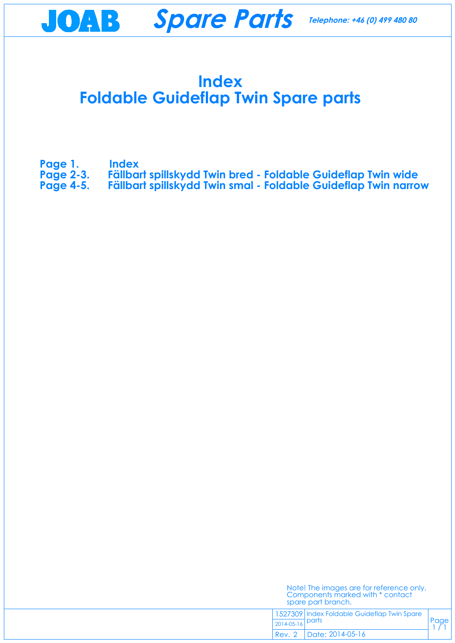### **Index Foldable Guideflap Twin Spare parts**

Page  $1/1$ 

- **Page 1. Index**
- **[Page 2-3. Fällbart spillskydd Twin bred Foldable Guideflap Twin wide](#page-1-0)**
- **[Page 4-5. Fällbart spillskydd Twin smal Foldable Guideflap Twin narrow](#page-3-0)**

| Note! The images are for reference only. |
|------------------------------------------|
| Components marked with * contact         |
| spare part branch.                       |

1527309 Index Foldable Guideflap Twin Spare parts 2014-05-16

Date: 2014-05-16 Rev. 2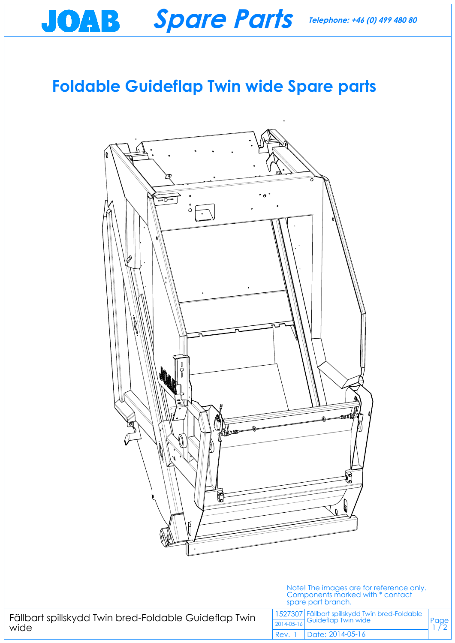# **Foldable Guideflap Twin wide Spare parts**

Page  $1/2$ 

**Spare Parts**

<span id="page-1-0"></span>JOAB



Fällbart spillskydd Twin bred-Foldable Guideflap Twin wide

Note! The images are for reference only. Components marked with \* contact spare part branch.

1527307 Fällbart spillskydd Twin bred-Foldable Guideflap Twin wide 2014-05-16

Date: 2014-05-16 Rev. 1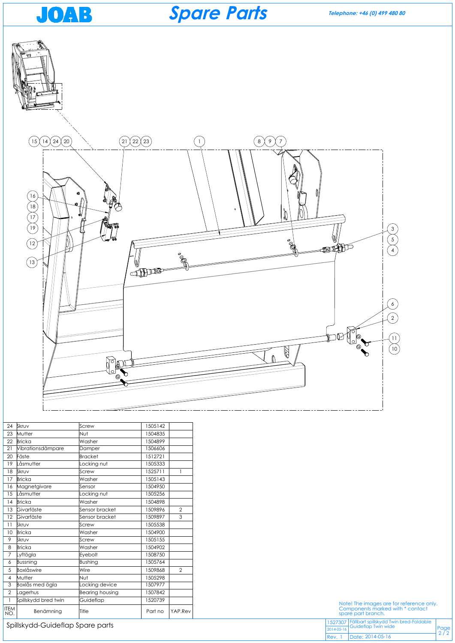

| 24                       | Skruv                | Screw                  | 1505142 |                |
|--------------------------|----------------------|------------------------|---------|----------------|
| 23                       | Mutter               | Nut                    | 1504835 |                |
| 22                       | <b>Bricka</b>        | Washer                 | 1504899 |                |
| 21                       | Vibrationsdämpare    | Damper                 | 1506606 |                |
| 20                       | Fäste                | <b>Bracket</b>         | 1512721 |                |
| 19                       | Låsmutter            | Locking nut            | 1505333 |                |
| 18                       | Skruv                | Screw                  | 1525711 | $\mathbf{1}$   |
| 17                       | <b>Bricka</b>        | Washer                 | 1505143 |                |
| 16                       | Magnetgivare         | Sensor                 | 1504950 |                |
| 15                       | Låsmutter            | Locking nut            | 1505256 |                |
| 14                       | <b>Bricka</b>        | Washer                 | 1504898 |                |
| 13                       | Givarfäste           | Sensor bracket         | 1509896 | $\overline{2}$ |
| 12                       | Givarfäste           | Sensor bracket         | 1509897 | 3              |
| 11                       | Skruv                | Screw                  | 1505538 |                |
| 10                       | <b>Bricka</b>        | Washer                 | 1504900 |                |
| 9                        | Skruv                | Screw                  | 1505155 |                |
| 8                        | <b>Bricka</b>        | Washer                 | 1504902 |                |
| 7                        | Lyftögla             | Eyebolt                | 1508750 |                |
| 6                        | Bussning             | <b>Bushing</b>         | 1505764 |                |
| 5                        | Boxlåswire           | Wire                   | 1509868 | $\overline{2}$ |
| $\overline{\mathcal{A}}$ | Mutter               | Nut                    | 1505298 |                |
| 3                        | Boxlås med ögla      | Locking device         | 1507977 |                |
| $\overline{2}$           | Lagerhus             | <b>Bearing housing</b> | 1507842 |                |
| $\mathbf{I}$             | Spillskydd bred twin | Guideflap              | 1520739 |                |
| <b>ITEM</b><br>NO.       | Benämning            | Title                  | Part no | YAP.Rev        |





Spillskydd-Guideflap Spare parts

**Telephone: +46 (0) 499 480 80**

Note! The images are for reference only. Components marked with \* contact spare part branch.

| 1527307 Fällbart spillskydd Twin bred-Foldable<br>2014-05-16 Guideflap Twin wide |                                                             |
|----------------------------------------------------------------------------------|-------------------------------------------------------------|
|                                                                                  | $\begin{array}{c} \n\text{Page} \\ \text{2/2}\n\end{array}$ |
| Rev. 1   Date: 2014-05-16                                                        |                                                             |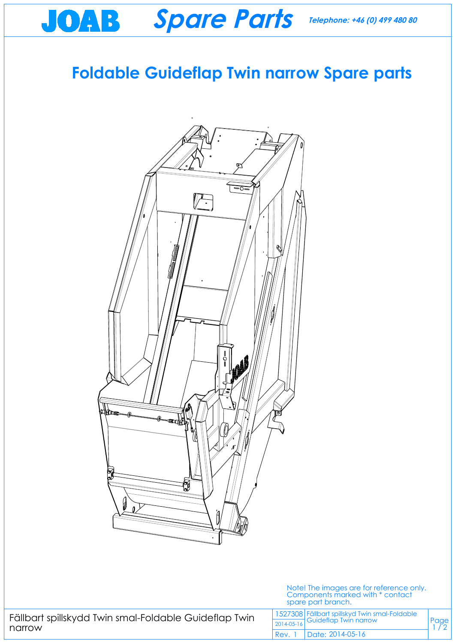## **Foldable Guideflap Twin narrow Spare parts**

Page  $1/2$ 

**Spare Parts**

<span id="page-3-0"></span>JOAB



|        |  |  | Fällbart spillskydd Twin smal-Foldable Guideflap Twin |  |
|--------|--|--|-------------------------------------------------------|--|
| narrow |  |  |                                                       |  |

#### Note! The images are for reference only. Components marked with \* contact spare part branch.

1527308 Fällbart spillskyd Twin smal-Foldable Guideflap Twin narrow 2014-05-16

Date: 2014-05-16 Rev. 1